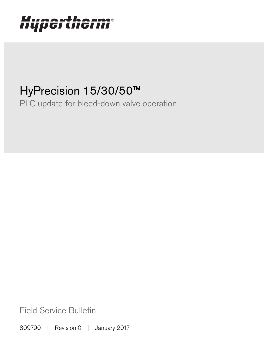# Hypertherm®

## HyPrecision 15/30/50™

PLC update for bleed-down valve operation

Field Service Bulletin

809790 | Revision 0 | January 2017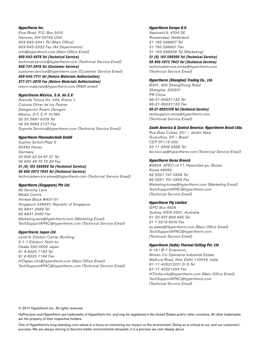#### Hypertherm Inc.

Etna Road, P.O. Box 5010 Hanover, NH 03755 USA 603-643-3441 Tel (Main Office) 603-643-5352 Fax (All Departments) info@hypertherm.com (Main Office Email)

800-643-9878 Tel (Technical Service) technical.service@hypertherm.com (Technical Service Email) 800-737-2978 Tel (Customer Service)

customer.service@hypertherm.com (Customer Service Email)

866-643-7711 Tel (Return Materials Authorization) 877-371-2876 Fax (Return Materials Authorization) return.materials@hypertherm.com (RMA email)

#### Hypertherm México, S.A. de C.V.

Avenida Toluca No. 444, Anexo 1, Colonia Olivar de los Padres Delegación Álvaro Obregón México, D.F. C.P. 01780 52 55 5681 8109 Tel 52 55 5683 2127 Fax Soporte.Tecnico@hypertherm.com (Technical Service Email)

#### Hypertherm Plasmatechnik GmbH

Sophie-Scholl-Platz 5 63452 Hanau **Germany** 00 800 33 24 97 37 Tel 00 800 49 73 73 29 Fax

#### 31 (0) 165 596900 Tel (Technical Service)

00 800 4973 7843 Tel (Technical Service) technicalservice.emea@hypertherm.com (Technical Service Email)

#### Hypertherm (Singapore) Pte Ltd.

82 Genting Lane Media Centre Annexe Block #A01-01 Singapore 349567, Republic of Singapore 65 6841 2489 Tel 65 6841 2490 Fax Marketing.asia@hypertherm.com (Marketing Email) TechSupportAPAC@hypertherm.com (Technical Service Email)

#### Hypertherm Japan Ltd.

Level 9, Edobori Center Building 2-1-1 Edobori, Nishi-ku Osaka 550-0002 Japan 81 6 6225 1183 Tel 81 6 6225 1184 Fax HTJapan.info@hypertherm.com (Main Office Email) TechSupportAPAC@hypertherm.com (Technical Service Email)

#### Hypertherm Europe B.V.

Vaartveld 9, 4704 SE Roosendaal, Nederland 31 165 596907 Tel 31 165 596901 Fax 31 165 596908 Tel (Marketing) 31 (0) 165 596900 Tel (Technical Service) 00 800 4973 7843 Tel (Technical Service)

technicalservice.emea@hypertherm.com (Technical Service Email)

#### Hypertherm (Shanghai) Trading Co., Ltd.

B301, 495 ShangZhong Road Shanghai, 200231 PR China 86-21-80231122 Tel 86-21-80231120 Fax

86-21-80231128 Tel (Technical Service) techsupport.china@hypertherm.com (Technical Service Email)

#### South America & Central America: Hypertherm Brasil Ltda.

Rua Bras Cubas, 231 – Jardim Maia Guarulhos, SP – Brasil CEP 07115-030 55 11 2409 2636 Tel tecnico.sa@hypertherm.com (Technical Service Email)

#### Hypertherm Korea Branch

#3904. APEC-ro 17. Heaundae-gu. Busan. Korea 48060 82 (0)51 747 0358 Tel 82 (0)51 701 0358 Fax Marketing.korea@hypertherm.com (Marketing Email) TechSupportAPAC@hypertherm.com (Technical Service Email)

#### Hypertherm Pty Limited

GPO Box 4836 Sydney NSW 2001, Australia 61 (0) 437 606 995 Tel 61 7 3219 9010 Fax au.sales@Hypertherm.com (Main Office Email) TechSupportAPAC@hypertherm.com (Technical Service Email)

#### Hypertherm (India) Thermal Cutting Pvt. Ltd

A-18 / B-1 Extension, Mohan Co-Operative Industrial Estate, Mathura Road, New Delhi 110044, India 91-11-40521201/ 2/ 3 Tel 91-11 40521204 Fax HTIndia.info@hypertherm.com (Main Office Email) TechSupportAPAC@hypertherm.com (Technical Service Email)

© 2017 Hypertherm Inc. All rights reserved.

HyPrecision and Hypertherm are trademarks of Hypertherm Inc. and may be registered in the United States and/or other countries. All other trademarks are the property of their respective holders.

success. We are always striving to become better environmental stewards; it is a process we care deeply about. One of Hypertherm's long-standing core values is a focus on minimizing our impact on the environment. Doing so is critical to our, and our customers',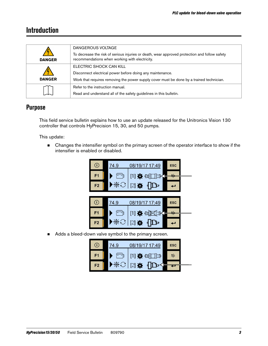## **Introduction**

| <b>DANGER</b> | DANGEROUS VOLTAGE<br>To decrease the risk of serious injuries or death, wear approved protection and follow safety<br>recommendations when working with electricity.             |
|---------------|----------------------------------------------------------------------------------------------------------------------------------------------------------------------------------|
| <b>DANGER</b> | ELECTRIC SHOCK CAN KILL<br>Disconnect electrical power before doing any maintenance.<br>Work that requires removing the power supply cover must be done by a trained technician. |
|               | Refer to the instruction manual.<br>Read and understand all of the safety guidelines in this bulletin.                                                                           |

## **Purpose**

This field service bulletin explains how to use an update released for the Unitronics Vision 130 controller that controls HyPrecision 15, 30, and 50 pumps.

This update:

■ Changes the intensifier symbol on the primary screen of the operator interface to show if the intensifier is enabled or disabled.



Adds a bleed-down valve symbol to the primary screen.

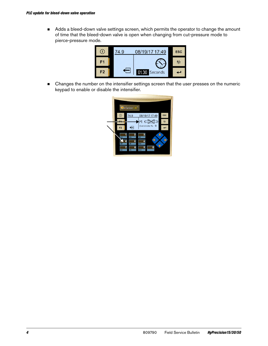Adds a bleed-down valve settings screen, which permits the operator to change the amount of time that the bleed-down valve is open when changing from cut-pressure mode to pierce-pressure mode.



**EXEC** Changes the number on the intensifier settings screen that the user presses on the numeric keypad to enable or disable the intensifier.

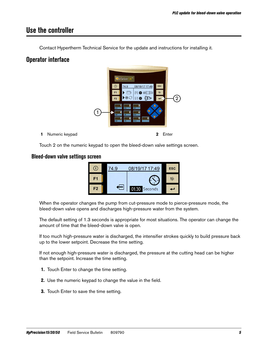## **Use the controller**

Contact Hypertherm Technical Service for the update and instructions for installing it.

## **Operator interface**



Touch 2 on the numeric keypad to open the bleed-down valve settings screen.

#### **Bleed-down valve settings screen**



When the operator changes the pump from cut-pressure mode to pierce-pressure mode, the bleed-down valve opens and discharges high-pressure water from the system.

The default setting of 1.3 seconds is appropriate for most situations. The operator can change the amount of time that the bleed-down valve is open.

If too much high-pressure water is discharged, the intensifier strokes quickly to build pressure back up to the lower setpoint. Decrease the time setting.

If not enough high-pressure water is discharged, the pressure at the cutting head can be higher than the setpoint. Increase the time setting.

- 1. Touch Enter to change the time setting.
- 2. Use the numeric keypad to change the value in the field.
- 3. Touch Enter to save the time setting.